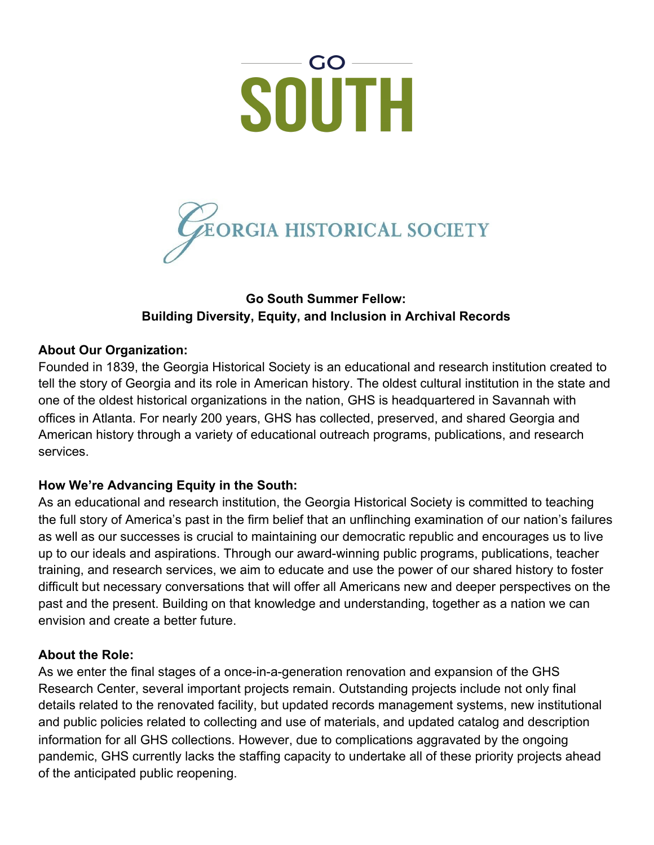



# **Go South Summer Fellow: Building Diversity, Equity, and Inclusion in Archival Records**

### **About Our Organization:**

Founded in 1839, the Georgia Historical Society is an educational and research institution created to tell the story of Georgia and its role in American history. The oldest cultural institution in the state and one of the oldest historical organizations in the nation, GHS is headquartered in Savannah with offices in Atlanta. For nearly 200 years, GHS has collected, preserved, and shared Georgia and American history through a variety of educational outreach programs, publications, and research services.

### **How We're Advancing Equity in the South:**

As an educational and research institution, the Georgia Historical Society is committed to teaching the full story of America's past in the firm belief that an unflinching examination of our nation's failures as well as our successes is crucial to maintaining our democratic republic and encourages us to live up to our ideals and aspirations. Through our award-winning public programs, publications, teacher training, and research services, we aim to educate and use the power of our shared history to foster difficult but necessary conversations that will offer all Americans new and deeper perspectives on the past and the present. Building on that knowledge and understanding, together as a nation we can envision and create a better future.

### **About the Role:**

As we enter the final stages of a once-in-a-generation renovation and expansion of the GHS Research Center, several important projects remain. Outstanding projects include not only final details related to the renovated facility, but updated records management systems, new institutional and public policies related to collecting and use of materials, and updated catalog and description information for all GHS collections. However, due to complications aggravated by the ongoing pandemic, GHS currently lacks the staffing capacity to undertake all of these priority projects ahead of the anticipated public reopening.